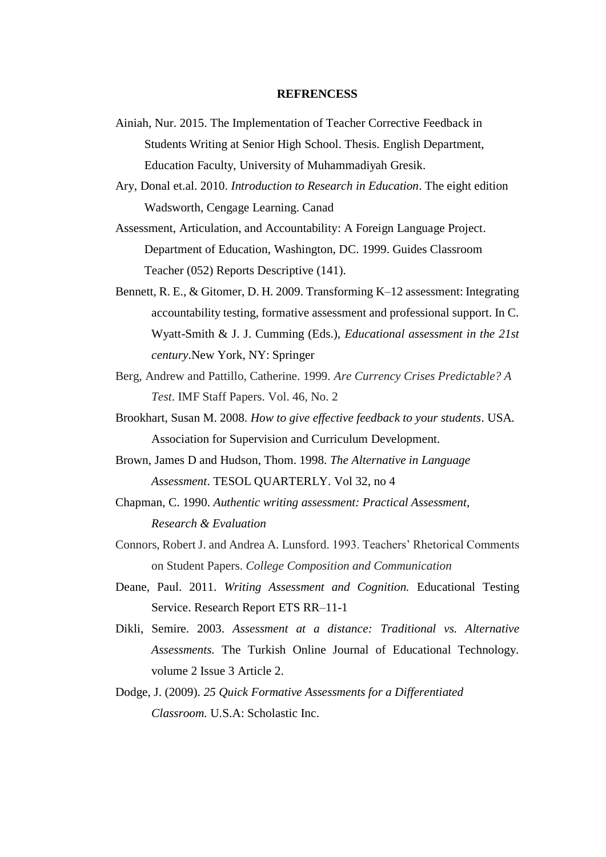## **REFRENCESS**

- Ainiah, Nur. 2015. The Implementation of Teacher Corrective Feedback in Students Writing at Senior High School. Thesis. English Department, Education Faculty, University of Muhammadiyah Gresik.
- Ary, Donal et.al. 2010. *Introduction to Research in Education*. The eight edition Wadsworth, Cengage Learning. Canad
- Assessment, Articulation, and Accountability: A Foreign Language Project. Department of Education, Washington, DC. 1999. Guides Classroom Teacher (052) Reports Descriptive (141).
- Bennett, R. E., & Gitomer, D. H. 2009. Transforming K–12 assessment: Integrating accountability testing, formative assessment and professional support. In C. Wyatt-Smith & J. J. Cumming (Eds.), *Educational assessment in the 21st century*.New York, NY: Springer
- Berg, Andrew and Pattillo, Catherine. 1999. *Are Currency Crises Predictable? A Test*. IMF Staff Papers. Vol. 46, No. 2
- Brookhart, Susan M. 2008. *How to give effective feedback to your students*. USA. Association for Supervision and Curriculum Development.
- Brown, James D and Hudson, Thom. 1998. *The Alternative in Language Assessment*. TESOL QUARTERLY. Vol 32, no 4
- Chapman, C. 1990. *Authentic writing assessment: Practical Assessment, Research & Evaluation*
- Connors, Robert J. and Andrea A. Lunsford. 1993. Teachers' Rhetorical Comments on Student Papers. *College Composition and Communication*
- Deane, Paul. 2011. *Writing Assessment and Cognition.* Educational Testing Service. Research Report ETS RR–11-1
- Dikli, Semire. 2003. *Assessment at a distance: Traditional vs. Alternative Assessments.* The Turkish Online Journal of Educational Technology. volume 2 Issue 3 Article 2.
- Dodge, J. (2009). *25 Quick Formative Assessments for a Differentiated Classroom.* U.S.A: Scholastic Inc.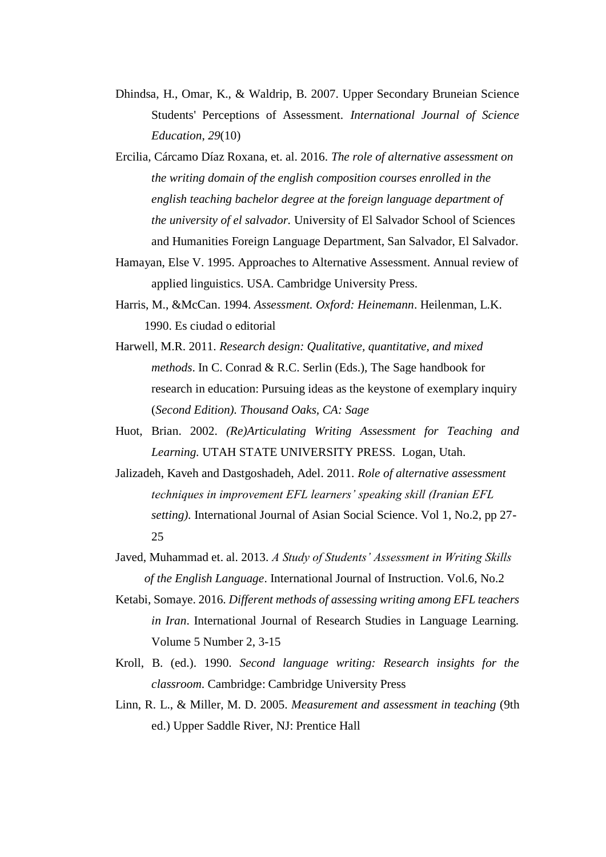- Dhindsa, H., Omar, K., & Waldrip, B. 2007. Upper Secondary Bruneian Science Students' Perceptions of Assessment. *International Journal of Science Education*, *29*(10)
- Ercilia, Cárcamo Díaz Roxana, et. al. 2016. *The role of alternative assessment on the writing domain of the english composition courses enrolled in the english teaching bachelor degree at the foreign language department of the university of el salvador.* University of El Salvador School of Sciences and Humanities Foreign Language Department, San Salvador, El Salvador.
- Hamayan, Else V. 1995. Approaches to Alternative Assessment. Annual review of applied linguistics. USA. Cambridge University Press.
- Harris, M., &McCan. 1994. *Assessment. Oxford: Heinemann*. Heilenman, L.K. 1990. Es ciudad o editorial
- Harwell, M.R. 2011. *Research design: Qualitative, quantitative, and mixed methods*. In C. Conrad & R.C. Serlin (Eds.), The Sage handbook for research in education: Pursuing ideas as the keystone of exemplary inquiry (*Second Edition). Thousand Oaks, CA: Sage*
- Huot, Brian. 2002. *(Re)Articulating Writing Assessment for Teaching and Learning.* UTAH STATE UNIVERSITY PRESS. Logan, Utah.
- Jalizadeh, Kaveh and Dastgoshadeh, Adel. 2011. *Role of alternative assessment techniques in improvement EFL learners' speaking skill (Iranian EFL setting).* International Journal of Asian Social Science. Vol 1, No.2, pp 27- 25
- Javed, Muhammad et. al. 2013. *A Study of Students' Assessment in Writing Skills of the English Language*. International Journal of Instruction. Vol.6, No.2
- Ketabi, Somaye. 2016. *Different methods of assessing writing among EFL teachers in Iran*. International Journal of Research Studies in Language Learning. Volume 5 Number 2, 3-15
- Kroll, B. (ed.). 1990. *Second language writing: Research insights for the classroom*. Cambridge: Cambridge University Press
- Linn, R. L., & Miller, M. D. 2005. *Measurement and assessment in teaching* (9th ed.) Upper Saddle River, NJ: Prentice Hall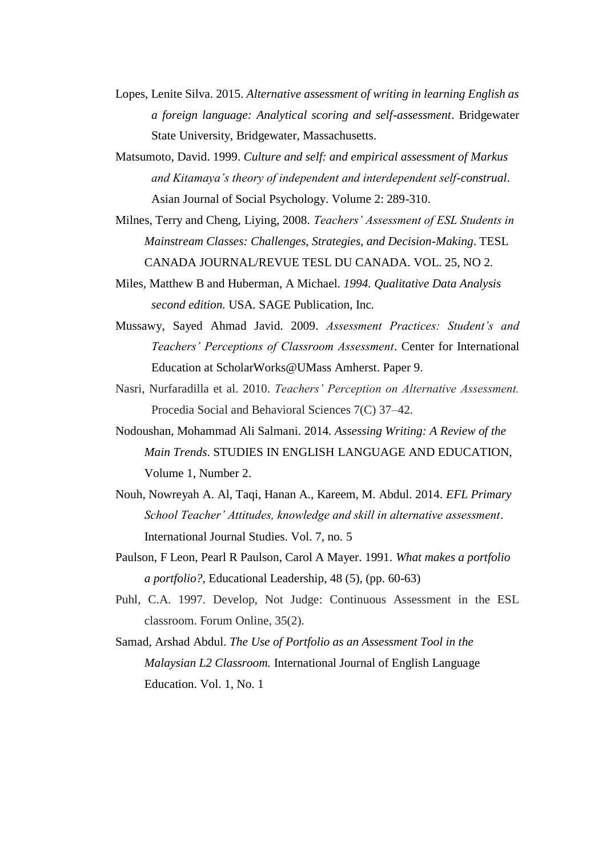- Lopes, Lenite Silva. 2015. *Alternative assessment of writing in learning English as a foreign language: Analytical scoring and self-assessment*. Bridgewater State University, Bridgewater, Massachusetts.
- Matsumoto, David. 1999. *Culture and self: and empirical assessment of Markus and Kitamaya's theory of independent and interdependent self-construal*. Asian Journal of Social Psychology. Volume 2: 289-310.
- Milnes, Terry and Cheng, Liying, 2008. *Teachers' Assessment of ESL Students in Mainstream Classes: Challenges, Strategies, and Decision-Making*. TESL CANADA JOURNAL/REVUE TESL DU CANADA. VOL. 25, NO 2.
- Miles, Matthew B and Huberman, A Michael*. 1994. Qualitative Data Analysis second edition.* USA. SAGE Publication, Inc*.*
- Mussawy, Sayed Ahmad Javid. 2009. *Assessment Practices: Student's and Teachers' Perceptions of Classroom Assessment*. Center for International Education at ScholarWorks@UMass Amherst. Paper 9.
- Nasri, Nurfaradilla et al. 2010. *Teachers' Perception on Alternative Assessment.*  Procedia Social and Behavioral Sciences 7(C) 37–42.
- Nodoushan, Mohammad Ali Salmani. 2014*. Assessing Writing: A Review of the Main Trends*. STUDIES IN ENGLISH LANGUAGE AND EDUCATION, Volume 1, Number 2.
- Nouh, Nowreyah A. Al, Taqi, Hanan A., Kareem, M. Abdul. 2014. *EFL Primary School Teacher' Attitudes, knowledge and skill in alternative assessment*. International Journal Studies. Vol. 7, no. 5
- Paulson, F Leon, Pearl R Paulson, Carol A Mayer. 1991. *What makes a portfolio a portfolio?*, Educational Leadership, 48 (5), (pp. 60-63)
- Puhl, C.A. 1997. Develop, Not Judge: Continuous Assessment in the ESL classroom. Forum Online, 35(2).
- Samad, Arshad Abdul. *The Use of Portfolio as an Assessment Tool in the Malaysian L2 Classroom.* International Journal of English Language Education. Vol. 1, No. 1